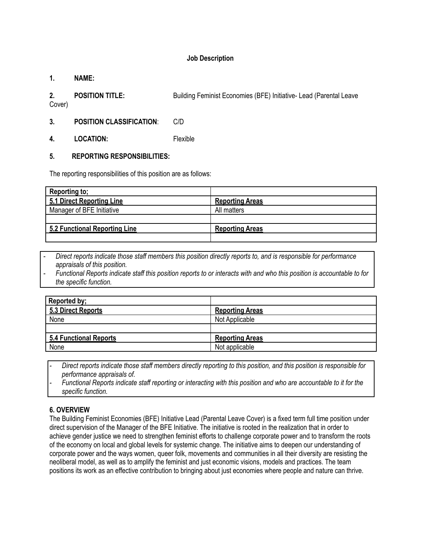### **Job Description**

#### **1. NAME:**

**2. POSITION TITLE:** Building Feminist Economies (BFE) Initiative- Lead (Parental Leave

Cover)

- **3. POSITION CLASSIFICATION**: C/D
- **4. LOCATION:** Flexible

#### **5. REPORTING RESPONSIBILITIES:**

The reporting responsibilities of this position are as follows:

| <b>Reporting to:</b>          |                        |
|-------------------------------|------------------------|
| 5.1 Direct Reporting Line     | <b>Reporting Areas</b> |
| Manager of BFE Initiative     | All matters            |
|                               |                        |
| 5.2 Functional Reporting Line | <b>Reporting Areas</b> |
|                               |                        |

- Direct reports indicate those staff members this position directly reports to, and is responsible for performance *appraisals of this position.*
- Functional Reports indicate staff this position reports to or interacts with and who this position is accountable to for *the specific function.*

| Reported by;                  |                        |
|-------------------------------|------------------------|
| 5.3 Direct Reports            | <b>Reporting Areas</b> |
| None                          | Not Applicable         |
|                               |                        |
| <b>5.4 Functional Reports</b> | <b>Reporting Areas</b> |
| None                          | Not applicable         |

Direct reports indicate those staff members directly reporting to this position, and this position is responsible for *performance appraisals of.*

Functional Reports indicate staff reporting or interacting with this position and who are accountable to it for the *specific function.*

## **6. OVERVIEW**

The Building Feminist Economies (BFE) Initiative Lead (Parental Leave Cover) is a fixed term full time position under direct supervision of the Manager of the BFE Initiative. The initiative is rooted in the realization that in order to achieve gender justice we need to strengthen feminist efforts to challenge corporate power and to transform the roots of the economy on local and global levels for systemic change. The initiative aims to deepen our understanding of corporate power and the ways women, queer folk, movements and communities in all their diversity are resisting the neoliberal model, as well as to amplify the feminist and just economic visions, models and practices. The team positions its work as an effective contribution to bringing about just economies where people and nature can thrive.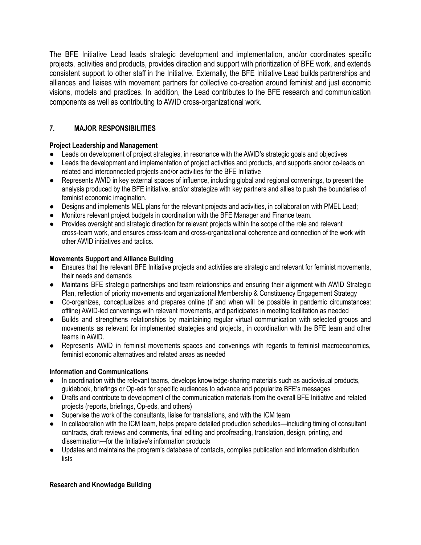The BFE Initiative Lead leads strategic development and implementation, and/or coordinates specific projects, activities and products, provides direction and support with prioritization of BFE work, and extends consistent support to other staff in the Initiative. Externally, the BFE Initiative Lead builds partnerships and alliances and liaises with movement partners for collective co-creation around feminist and just economic visions, models and practices. In addition, the Lead contributes to the BFE research and communication components as well as contributing to AWID cross-organizational work.

# **7. MAJOR RESPONSIBILITIES**

## **Project Leadership and Management**

- Leads on development of project strategies, in resonance with the AWID's strategic goals and objectives
- Leads the development and implementation of project activities and products, and supports and/or co-leads on related and interconnected projects and/or activities for the BFE Initiative
- Represents AWID in key external spaces of influence, including global and regional convenings, to present the analysis produced by the BFE initiative, and/or strategize with key partners and allies to push the boundaries of feminist economic imagination.
- Designs and implements MEL plans for the relevant projects and activities, in collaboration with PMEL Lead;
- Monitors relevant project budgets in coordination with the BFE Manager and Finance team.
- Provides oversight and strategic direction for relevant projects within the scope of the role and relevant cross-team work, and ensures cross-team and cross-organizational coherence and connection of the work with other AWID initiatives and tactics.

## **Movements Support and Alliance Building**

- Ensures that the relevant BFE Initiative projects and activities are strategic and relevant for feminist movements, their needs and demands
- Maintains BFE strategic partnerships and team relationships and ensuring their alignment with AWID Strategic Plan, reflection of priority movements and organizational Membership & Constituency Engagement Strategy
- Co-organizes, conceptualizes and prepares online (if and when will be possible in pandemic circumstances: offline) AWID-led convenings with relevant movements, and participates in meeting facilitation as needed
- Builds and strengthens relationships by maintaining regular virtual communication with selected groups and movements as relevant for implemented strategies and projects,, in coordination with the BFE team and other teams in AWID.
- Represents AWID in feminist movements spaces and convenings with regards to feminist macroeconomics, feminist economic alternatives and related areas as needed

### **Information and Communications**

- In coordination with the relevant teams, develops knowledge-sharing materials such as audiovisual products, guidebook, briefings or Op-eds for specific audiences to advance and popularize BFE's messages
- Drafts and contribute to development of the communication materials from the overall BFE Initiative and related projects (reports, briefings, Op-eds, and others)
- Supervise the work of the consultants, liaise for translations, and with the ICM team
- In collaboration with the ICM team, helps prepare detailed production schedules—including timing of consultant contracts, draft reviews and comments, final editing and proofreading, translation, design, printing, and dissemination—for the Initiative's information products
- **●** Updates and maintains the program's database of contacts, compiles publication and information distribution lists

### **Research and Knowledge Building**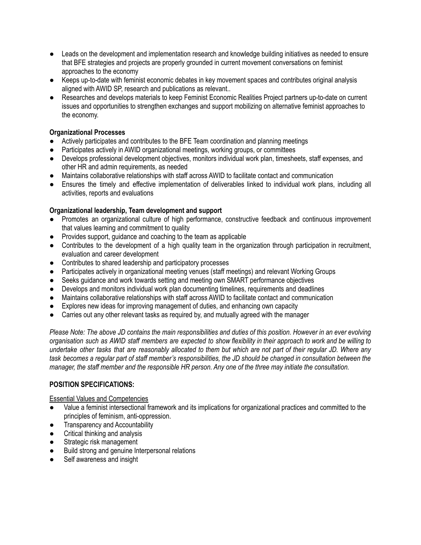- Leads on the development and implementation research and knowledge building initiatives as needed to ensure that BFE strategies and projects are properly grounded in current movement conversations on feminist approaches to the economy
- Keeps up-to-date with feminist economic debates in key movement spaces and contributes original analysis aligned with AWID SP, research and publications as relevant..
- Researches and develops materials to keep Feminist Economic Realities Project partners up-to-date on current issues and opportunities to strengthen exchanges and support mobilizing on alternative feminist approaches to the economy.

#### **Organizational Processes**

- Actively participates and contributes to the BFE Team coordination and planning meetings
- Participates actively in AWID organizational meetings, working groups, or committees
- Develops professional development objectives, monitors individual work plan, timesheets, staff expenses, and other HR and admin requirements, as needed
- Maintains collaborative relationships with staff across AWID to facilitate contact and communication
- Ensures the timely and effective implementation of deliverables linked to individual work plans, including all activities, reports and evaluations

#### **Organizational leadership, Team development and support**

- Promotes an organizational culture of high performance, constructive feedback and continuous improvement that values learning and commitment to quality
- Provides support, guidance and coaching to the team as applicable
- Contributes to the development of a high quality team in the organization through participation in recruitment, evaluation and career development
- Contributes to shared leadership and participatory processes
- Participates actively in organizational meeting venues (staff meetings) and relevant Working Groups
- Seeks guidance and work towards setting and meeting own SMART performance objectives
- Develops and monitors individual work plan documenting timelines, requirements and deadlines
- Maintains collaborative relationships with staff across AWID to facilitate contact and communication
- Explores new ideas for improving management of duties, and enhancing own capacity
- Carries out any other relevant tasks as required by, and mutually agreed with the manager

Please Note: The above JD contains the main responsibilities and duties of this position. However in an ever evolving organisation such as AWID staff members are expected to show flexibility in their approach to work and be willing to undertake other tasks that are reasonably allocated to them but which are not part of their regular JD. Where any task becomes a regular part of staff member's responsibilities, the JD should be changed in consultation between the manager, the staff member and the responsible HR person. Any one of the three may initiate the consultation.

### **POSITION SPECIFICATIONS:**

#### Essential Values and Competencies

- Value a feminist intersectional framework and its implications for organizational practices and committed to the principles of feminism, anti-oppression.
- Transparency and Accountability
- Critical thinking and analysis
- Strategic risk management
- Build strong and genuine Interpersonal relations
- Self awareness and insight